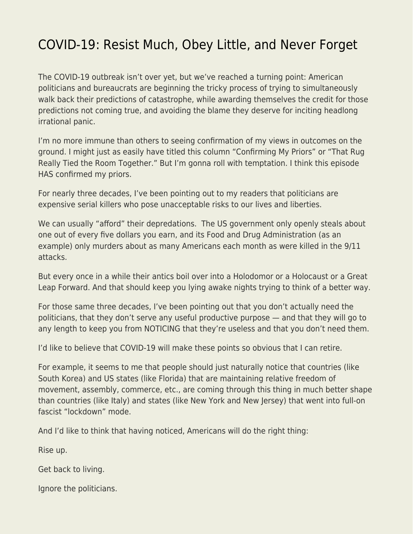## [COVID-19: Resist Much, Obey Little, and Never Forget](https://everything-voluntary.com/covid-19-resist-much-obey-little-and-never-forget)

The COVID-19 outbreak isn't over yet, but we've reached a turning point: American politicians and bureaucrats are beginning the tricky process of trying to simultaneously walk back their predictions of catastrophe, while awarding themselves the credit for those predictions not coming true, and avoiding the blame they deserve for inciting headlong irrational panic.

I'm no more immune than others to seeing confirmation of my views in outcomes on the ground. I might just as easily have titled this column "Confirming My Priors" or "That Rug Really Tied the Room Together." But I'm gonna roll with temptation. I think this episode HAS confirmed my priors.

For nearly three decades, I've been pointing out to my readers that politicians are expensive serial killers who pose unacceptable risks to our lives and liberties.

We can usually "afford" their depredations. The US government only openly steals about one out of every five dollars you earn, and its Food and Drug Administration (as an example) only murders about as many Americans each month as were killed in the 9/11 attacks.

But every once in a while their antics boil over into a Holodomor or a Holocaust or a Great Leap Forward. And that should keep you lying awake nights trying to think of a better way.

For those same three decades, I've been pointing out that you don't actually need the politicians, that they don't serve any useful productive purpose — and that they will go to any length to keep you from NOTICING that they're useless and that you don't need them.

I'd like to believe that COVID-19 will make these points so obvious that I can retire.

For example, it seems to me that people should just naturally notice that countries (like South Korea) and US states (like Florida) that are maintaining relative freedom of movement, assembly, commerce, etc., are coming through this thing in much better shape than countries (like Italy) and states (like New York and New Jersey) that went into full-on fascist "lockdown" mode.

And I'd like to think that having noticed, Americans will do the right thing:

Rise up.

Get back to living.

Ignore the politicians.